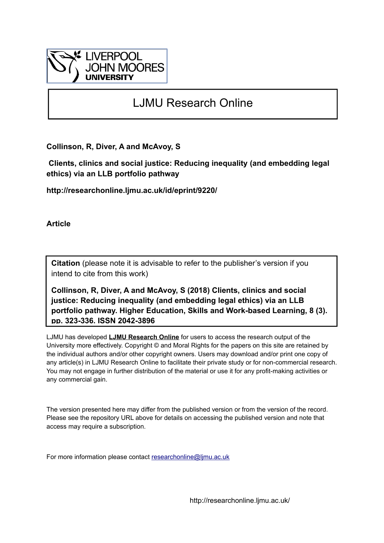

# LJMU Research Online

**Collinson, R, Diver, A and McAvoy, S**

 **Clients, clinics and social justice: Reducing inequality (and embedding legal ethics) via an LLB portfolio pathway**

**http://researchonline.ljmu.ac.uk/id/eprint/9220/**

**Article**

**Citation** (please note it is advisable to refer to the publisher's version if you intend to cite from this work)

**Collinson, R, Diver, A and McAvoy, S (2018) Clients, clinics and social justice: Reducing inequality (and embedding legal ethics) via an LLB portfolio pathway. Higher Education, Skills and Work-based Learning, 8 (3). pp. 323-336. ISSN 2042-3896** 

LJMU has developed **[LJMU Research Online](http://researchonline.ljmu.ac.uk/)** for users to access the research output of the University more effectively. Copyright © and Moral Rights for the papers on this site are retained by the individual authors and/or other copyright owners. Users may download and/or print one copy of any article(s) in LJMU Research Online to facilitate their private study or for non-commercial research. You may not engage in further distribution of the material or use it for any profit-making activities or any commercial gain.

The version presented here may differ from the published version or from the version of the record. Please see the repository URL above for details on accessing the published version and note that access may require a subscription.

For more information please contact [researchonline@ljmu.ac.uk](mailto:researchonline@ljmu.ac.uk)

http://researchonline.ljmu.ac.uk/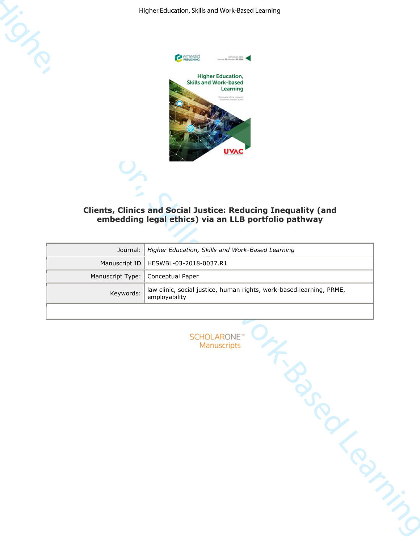

## **Clients, Clinics and Social Justice: Reducing Inequality (and embedding legal ethics) via an LLB portfolio pathway**

|                  | emerald<br><b>PUBLISHING</b><br>ISSN 2042-3896<br>#2010 00 mumber 00<br><b>Higher Education,</b><br><b>Skills and Work-based</b><br>Learning<br>The journal of the Univ<br>hal Awards Council<br>UVAC<br><b>Clients, Clinics and Social Justice: Reducing Inequality (and</b><br>embedding legal ethics) via an LLB portfolio pathway |
|------------------|---------------------------------------------------------------------------------------------------------------------------------------------------------------------------------------------------------------------------------------------------------------------------------------------------------------------------------------|
| Journal:         | Higher Education, Skills and Work-Based Learning                                                                                                                                                                                                                                                                                      |
| Manuscript ID    | HESWBL-03-2018-0037.R1                                                                                                                                                                                                                                                                                                                |
| Manuscript Type: | Conceptual Paper                                                                                                                                                                                                                                                                                                                      |
| Keywords:        | law clinic, social justice, human rights, work-based learning, PRME,<br>employability                                                                                                                                                                                                                                                 |
|                  | <b>SCHOLARONE</b> "<br>Manuscripts<br><b>SSSS</b><br>idensity in                                                                                                                                                                                                                                                                      |

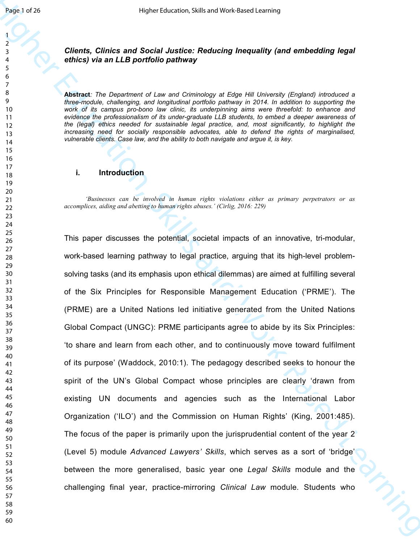#### *Clients, Clinics and Social Justice: Reducing Inequality (and embedding legal ethics) via an LLB portfolio pathway*

**Abstract***: The Department of Law and Criminology at Edge Hill University (England) introduced a three-module, challenging, and longitudinal portfolio pathway in 2014. In addition to supporting the work of its campus pro-bono law clinic, its underpinning aims were threefold: to enhance and evidence the professionalism of its under-graduate LLB students, to embed a deeper awareness of the (legal) ethics needed for sustainable legal practice, and, most significantly, to highlight the increasing need for socially responsible advocates, able to defend the rights of marginalised, vulnerable clients. Case law, and the ability to both navigate and argue it, is key.* 

#### **i. Introduction**

 *'Businesses can be involved in human rights violations either as primary perpetrators or as accomplices, aiding and abetting to human rights abuses.' (Cirlig, 2016: 229)* 

Health 278<br>
Heat Learning Chines and Secilal Justice; Reducing Inequality (and embedding legal<br>
2.1<br>
Chines and Secilal Justice; Reducing Inequality (and embedding legal<br>
2.1<br>
Chines and LB particle probably at the second This paper discusses the potential, societal impacts of an innovative, tri-modular, work-based learning pathway to legal practice, arguing that its high-level problemsolving tasks (and its emphasis upon ethical dilemmas) are aimed at fulfilling several of the Six Principles for Responsible Management Education ('PRME'). The (PRME) are a United Nations led initiative generated from the United Nations Global Compact (UNGC): PRME participants agree to abide by its Six Principles: 'to share and learn from each other, and to continuously move toward fulfilment of its purpose' (Waddock, 2010:1). The pedagogy described seeks to honour the spirit of the UN's Global Compact whose principles are clearly 'drawn from existing UN documents and agencies such as the International Labor Organization ('ILO') and the Commission on Human Rights' (King, 2001:485). The focus of the paper is primarily upon the jurisprudential content of the year 2 (Level 5) module *Advanced Lawyers' Skills*, which serves as a sort of 'bridge' between the more generalised, basic year one *Legal Skills* module and the challenging final year, practice-mirroring *Clinical Law* module*.* Students who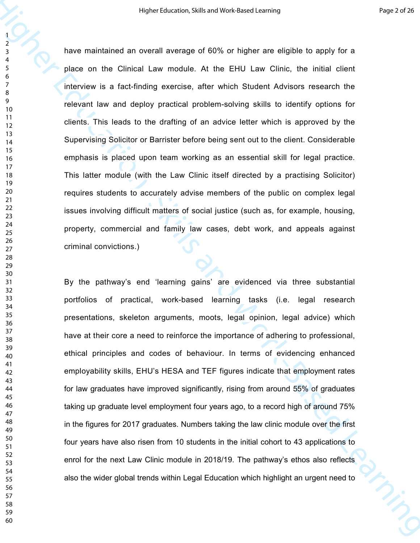have maintained an overall average of 60% or higher are eligible to apply for a place on the Clinical Law module. At the EHU Law Clinic, the initial client interview is a fact-finding exercise, after which Student Advisors research the relevant law and deploy practical problem-solving skills to identify options for clients. This leads to the drafting of an advice letter which is approved by the Supervising Solicitor or Barrister before being sent out to the client. Considerable emphasis is placed upon team working as an essential skill for legal practice. This latter module (with the Law Clinic itself directed by a practising Solicitor) requires students to accurately advise members of the public on complex legal issues involving difficult matters of social justice (such as, for example, housing, property, commercial and family law cases, debt work, and appeals against criminal convictions.)

Higher telescore, Stills and Work-Based Coming<br>
There maintained an evental everage of 60% or higher are digible to spay for a<br>
place on the Climical Lew module. At the EHU Law Clime, the initial client<br>
Therefore, its a B By the pathway's end 'learning gains' are evidenced via three substantial portfolios of practical, work-based learning tasks (i.e. legal research presentations, skeleton arguments, moots, legal opinion, legal advice) which have at their core a need to reinforce the importance of adhering to professional, ethical principles and codes of behaviour. In terms of evidencing enhanced employability skills, EHU's HESA and TEF figures indicate that employment rates for law graduates have improved significantly, rising from around 55% of graduates taking up graduate level employment four years ago, to a record high of around 75% in the figures for 2017 graduates. Numbers taking the law clinic module over the first four years have also risen from 10 students in the initial cohort to 43 applications to enrol for the next Law Clinic module in 2018/19. The pathway's ethos also reflects also the wider global trends within Legal Education which highlight an urgent need to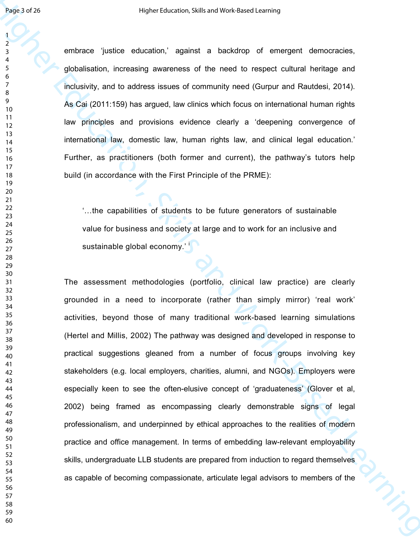embrace 'justice education,' against a backdrop of emergent democracies, globalisation, increasing awareness of the need to respect cultural heritage and inclusivity, and to address issues of community need (Gurpur and Rautdesi, 2014). As Cai (2011:159) has argued, law clinics which focus on international human rights law principles and provisions evidence clearly a 'deepening convergence of international law, domestic law, human rights law, and clinical legal education.' Further, as practitioners (both former and current), the pathway's tutors help build (in accordance with the First Principle of the PRME):

...the capabilities of students to be future generators of sustainable value for business and society at large and to work for an inclusive and sustainable global economy.'  $\frac{1}{2}$ 

Health 2022<br>
Higher Education Control is a statistical of energy of energy and the method of the statistical of energy and the statistical statistical of the method of energy and the statistical statistical statistical co The assessment methodologies (portfolio, clinical law practice) are clearly grounded in a need to incorporate (rather than simply mirror) 'real work' activities, beyond those of many traditional work-based learning simulations (Hertel and Millis, 2002) The pathway was designed and developed in response to practical suggestions gleaned from a number of focus groups involving key stakeholders (e.g. local employers, charities, alumni, and NGOs). Employers were especially keen to see the often-elusive concept of 'graduateness' (Glover et al, 2002) being framed as encompassing clearly demonstrable signs of legal professionalism, and underpinned by ethical approaches to the realities of modern practice and office management. In terms of embedding law-relevant employability skills, undergraduate LLB students are prepared from induction to regard themselves as capable of becoming compassionate, articulate legal advisors to members of the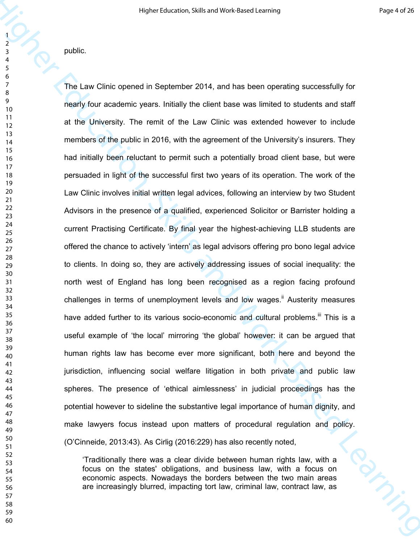public.

Higher telescone, Skills and Model telescone<br>
Higher Education (Fig. 2)<br>
The Law Clinic opened in September 2014, and his been operating subcessibility for<br>  $\frac{1}{2}$ <br>
The Law Clinic operation is the Law Clinic was extend The Law Clinic opened in September 2014, and has been operating successfully for nearly four academic years. Initially the client base was limited to students and staff at the University. The remit of the Law Clinic was extended however to include members of the public in 2016, with the agreement of the University's insurers. They had initially been reluctant to permit such a potentially broad client base, but were persuaded in light of the successful first two years of its operation. The work of the Law Clinic involves initial written legal advices, following an interview by two Student Advisors in the presence of a qualified, experienced Solicitor or Barrister holding a current Practising Certificate. By final year the highest-achieving LLB students are offered the chance to actively 'intern' as legal advisors offering pro bono legal advice to clients. In doing so, they are actively addressing issues of social inequality: the north west of England has long been recognised as a region facing profound challenges in terms of unemployment levels and low wages.<sup>ii</sup> Austerity measures have added further to its various socio-economic and cultural problems.<sup>iii</sup> This is a useful example of 'the local' mirroring 'the global' however: it can be argued that human rights law has become ever more significant, both here and beyond the jurisdiction, influencing social welfare litigation in both private and public law spheres. The presence of 'ethical aimlessness' in judicial proceedings has the potential however to sideline the substantive legal importance of human dignity, and make lawyers focus instead upon matters of procedural regulation and policy. (O'Cinneide, 2013:43). As Cirlig (2016:229) has also recently noted,

'Traditionally there was a clear divide between human rights law, with a focus on the states' obligations, and business law, with a focus on economic aspects. Nowadays the borders between the two main areas are increasingly blurred, impacting tort law, criminal law, contract law, as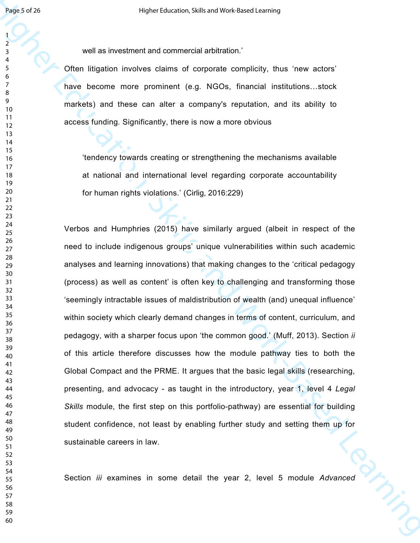well as investment and commercial arbitration.'

Often litigation involves claims of corporate complicity, thus 'new actors' have become more prominent (e.g. NGOs, financial institutions...stock markets) and these can alter a company's reputation, and its ability to access funding. Significantly, there is now a more obvious

'tendency towards creating or strengthening the mechanisms available at national and international level regarding corporate accountability for human rights violations.' (Cirlig, 2016:229)

Here  $\frac{1}{2}$ <br>
well as investment and commencial ancieration:<br>
You as investment and commencial ancieration:<br>
There is access more prominent, i.e.g., NGOs, financial institutions..since<br>
There is comes more prominent, i. Verbos and Humphries (2015) have similarly argued (albeit in respect of the need to include indigenous groups' unique vulnerabilities within such academic analyses and learning innovations) that making changes to the 'critical pedagogy (process) as well as content' is often key to challenging and transforming those 'seemingly intractable issues of maldistribution of wealth (and) unequal influence' within society which clearly demand changes in terms of content, curriculum, and pedagogy, with a sharper focus upon 'the common good.' (Muff, 2013). Section *ii* of this article therefore discusses how the module pathway ties to both the Global Compact and the PRME. It argues that the basic legal skills (researching, presenting, and advocacy - as taught in the introductory, year 1, level 4 *Legal Skills* module, the first step on this portfolio-pathway) are essential for building student confidence, not least by enabling further study and setting them up for sustainable careers in law.

Section *iii* examines in some detail the year 2, level 5 module *Advanced*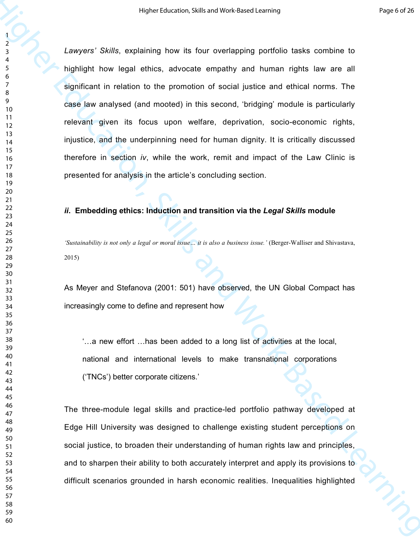Higher Skills and Work-Based Work-Based Coming<br>
1980-2013<br>
1. Amoyors' Skills, octolaining how its four-overtaining and human ingits law are all<br>
1991-1991-1991 the figst anti-on-book-Based Learning infinite and efficient *Lawyers' Skills*, explaining how its four overlapping portfolio tasks combine to highlight how legal ethics, advocate empathy and human rights law are all significant in relation to the promotion of social justice and ethical norms. The case law analysed (and mooted) in this second, 'bridging' module is particularly relevant given its focus upon welfare, deprivation, socio-economic rights, injustice, and the underpinning need for human dignity. It is critically discussed therefore in section *iv*, while the work, remit and impact of the Law Clinic is presented for analysis in the article's concluding section.

#### *ii***. Embedding ethics: Induction and transition via the** *Legal Skills* **module**

*'Sustainability is not only a legal or moral issue… it is also a business issue.'* (Berger-Walliser and Shivastava, 2015)

As Meyer and Stefanova (2001: 501) have observed, the UN Global Compact has increasingly come to define and represent how

 $\ldots$  a new effort  $\ldots$  has been added to a long list of activities at the local, national and international levels to make transnational corporations ('TNCs') better corporate citizens.'

The three-module legal skills and practice-led portfolio pathway developed at Edge Hill University was designed to challenge existing student perceptions on social justice, to broaden their understanding of human rights law and principles, and to sharpen their ability to both accurately interpret and apply its provisions to difficult scenarios grounded in harsh economic realities. Inequalities highlighted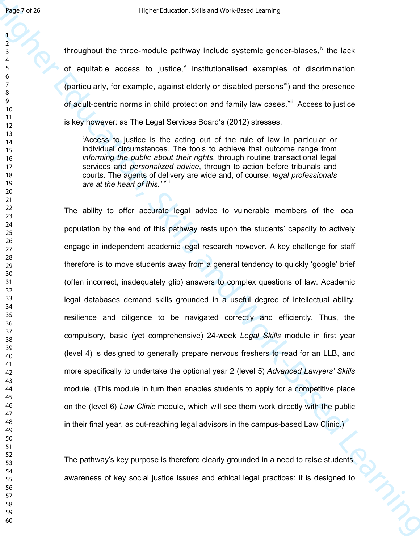throughout the three-module pathway include systemic gender-biases,  $\frac{iv}{v}$  the lack of equitable access to justice, $<sup>v</sup>$  institutionalised examples of discrimination</sup> (particularly, for example, against elderly or disabled persons<sup>vi</sup>) and the presence of adult-centric norms in child protection and family law cases.<sup>vii</sup> Access to justice is key however: as The Legal Services Board's (2012) stresses,

'Access to justice is the acting out of the rule of law in particular or individual circumstances. The tools to achieve that outcome range from *informing the public about their rights*, through routine transactional legal services and *personalized advice*, through to action before tribunals and courts. The agents of delivery are wide and, of course, *legal professionals are at the heart of this.'* viii

Health 2018<br>
Howard the three models cathosis include systemic gender-sieses. <sup>6</sup> the leak<br>
of equitable access to justice, <sup>7</sup> institution-sinced examples of electricination<br>
(caribulativ), for example, against electry o The ability to offer accurate legal advice to vulnerable members of the local population by the end of this pathway rests upon the students' capacity to actively engage in independent academic legal research however. A key challenge for staff therefore is to move students away from a general tendency to quickly 'google' brief (often incorrect, inadequately glib) answers to complex questions of law. Academic legal databases demand skills grounded in a useful degree of intellectual ability, resilience and diligence to be navigated correctly and efficiently. Thus, the compulsory, basic (yet comprehensive) 24-week *Legal Skills* module in first year (level 4) is designed to generally prepare nervous freshers to read for an LLB, and more specifically to undertake the optional year 2 (level 5) *Advanced Lawyers' Skills*  module*.* (This module in turn then enables students to apply for a competitive place on the (level 6) *Law Clinic* module, which will see them work directly with the public in their final year, as out-reaching legal advisors in the campus-based Law Clinic.)

The pathway's key purpose is therefore clearly grounded in a need to raise students' awareness of key social justice issues and ethical legal practices: it is designed to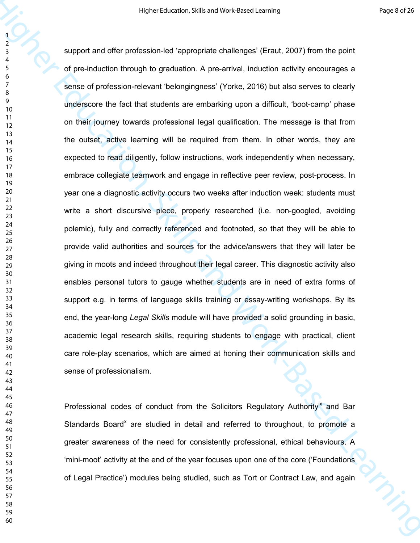Higher telescopies and the properties of the main of the main of the main of the main of the properties of the main of the properties of the properties of the main of the properties of the main of the main of the main of t support and offer profession-led 'appropriate challenges' (Eraut, 2007) from the point of pre-induction through to graduation. A pre-arrival, induction activity encourages a sense of profession-relevant 'belongingness' (Yorke, 2016) but also serves to clearly underscore the fact that students are embarking upon a difficult, 'boot-camp' phase on their journey towards professional legal qualification. The message is that from the outset, active learning will be required from them. In other words, they are expected to read diligently, follow instructions, work independently when necessary, embrace collegiate teamwork and engage in reflective peer review, post-process. In year one a diagnostic activity occurs two weeks after induction week: students must write a short discursive piece, properly researched (i.e. non-googled, avoiding polemic), fully and correctly referenced and footnoted, so that they will be able to provide valid authorities and sources for the advice/answers that they will later be giving in moots and indeed throughout their legal career. This diagnostic activity also enables personal tutors to gauge whether students are in need of extra forms of support e.g. in terms of language skills training or essay-writing workshops. By its end, the year-long *Legal Skills* module will have provided a solid grounding in basic, academic legal research skills, requiring students to engage with practical, client care role-play scenarios, which are aimed at honing their communication skills and sense of professionalism.

Professional codes of conduct from the Solicitors Regulatory Authority<sup>ix</sup> and Bar Standards Board<sup>x</sup> are studied in detail and referred to throughout, to promote a greater awareness of the need for consistently professional, ethical behaviours. A 'mini-moot' activity at the end of the year focuses upon one of the core ('Foundations of Legal Practice') modules being studied, such as Tort or Contract Law, and again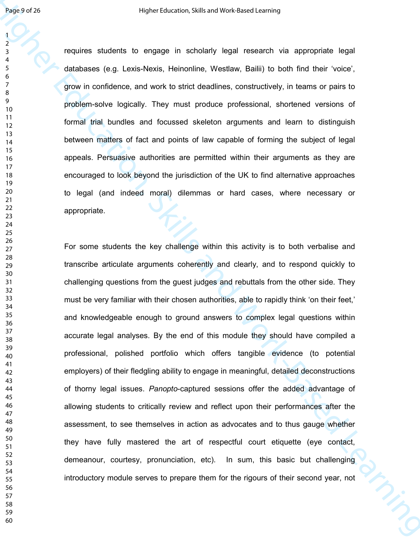requires students to engage in scholarly legal research via appropriate legal databases (e.g. Lexis-Nexis, Heinonline, Westlaw, Bailii) to both find their 'voice', grow in confidence, and work to strict deadlines, constructively, in teams or pairs to problem-solve logically. They must produce professional, shortened versions of formal trial bundles and focussed skeleton arguments and learn to distinguish between matters of fact and points of law capable of forming the subject of legal appeals. Persuasive authorities are permitted within their arguments as they are encouraged to look beyond the jurisdiction of the UK to find alternative approaches to legal (and indeed moral) dilemmas or hard cases, where necessary or appropriate.

Higher 2018<br>
Higher Educations to engage in scholarly logal research via appropriate logal<br>  $\frac{1}{2}$ <br>
convince students to engage in scholarly logal research via appropriate logal<br>
distances (a.g. Lears-Noss, Highlands, For some students the key challenge within this activity is to both verbalise and transcribe articulate arguments coherently and clearly, and to respond quickly to challenging questions from the guest judges and rebuttals from the other side. They must be very familiar with their chosen authorities, able to rapidly think 'on their feet,' and knowledgeable enough to ground answers to complex legal questions within accurate legal analyses. By the end of this module they should have compiled a professional, polished portfolio which offers tangible evidence (to potential employers) of their fledgling ability to engage in meaningful, detailed deconstructions of thorny legal issues. *Panopto*-captured sessions offer the added advantage of allowing students to critically review and reflect upon their performances after the assessment, to see themselves in action as advocates and to thus gauge whether they have fully mastered the art of respectful court etiquette (eye contact, demeanour, courtesy, pronunciation, etc). In sum, this basic but challenging introductory module serves to prepare them for the rigours of their second year, not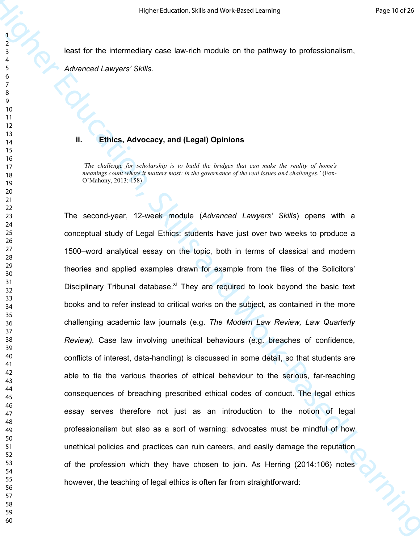least for the intermediary case law-rich module on the pathway to professionalism,

*Advanced Lawyers' Skills*.

### **ii. Ethics, Advocacy, and (Legal) Opinions**

*'The challenge for scholarship is to build the bridges that can make the reality of home's meanings count where it matters most: in the governance of the real issues and challenges.'* (Fox-O'Mahony, 2013: 158)

Higher Education Sells and Mois Education Sells and Mois Education (and the selfs and the selfs and the selfs and the selfs and the selfs and the selfs and the selfs and the selfs and the selfs and the selfs and the selfs The second-year, 12-week module (*Advanced Lawyers' Skills*) opens with a conceptual study of Legal Ethics: students have just over two weeks to produce a 1500–word analytical essay on the topic, both in terms of classical and modern theories and applied examples drawn for example from the files of the Solicitors' Disciplinary Tribunal database.<sup>xi</sup> They are required to look beyond the basic text books and to refer instead to critical works on the subject, as contained in the more challenging academic law journals (e.g. *The Modern Law Review, Law Quarterly Review).* Case law involving unethical behaviours (e.g. breaches of confidence, conflicts of interest, data-handling) is discussed in some detail, so that students are able to tie the various theories of ethical behaviour to the serious, far-reaching consequences of breaching prescribed ethical codes of conduct. The legal ethics essay serves therefore not just as an introduction to the notion of legal professionalism but also as a sort of warning: advocates must be mindful of how unethical policies and practices can ruin careers, and easily damage the reputation of the profession which they have chosen to join. As Herring (2014:106) notes however, the teaching of legal ethics is often far from straightforward: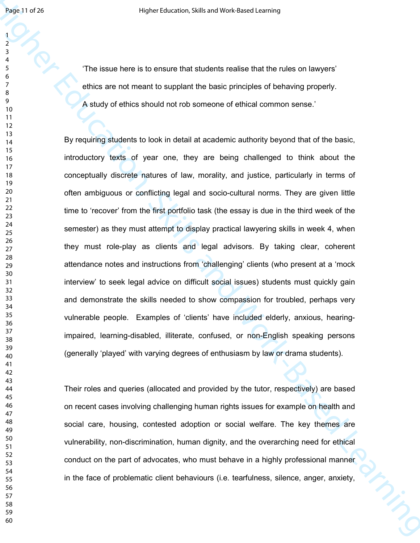'The issue here is to ensure that students realise that the rules on lawyers' ethics are not meant to supplant the basic principles of behaving properly. A study of ethics should not rob someone of ethical common sense.'

Health of 20<br>
Higher Education Control is to ensure that attuaches track is can be controlled by the controlled Certification<br>
The season here is to ensure that attuaches the filler and the number of<br>  $\frac{1}{2}$ <br>
A sharely By requiring students to look in detail at academic authority beyond that of the basic, introductory texts of year one, they are being challenged to think about the conceptually discrete natures of law, morality, and justice, particularly in terms of often ambiguous or conflicting legal and socio-cultural norms. They are given little time to 'recover' from the first portfolio task (the essay is due in the third week of the semester) as they must attempt to display practical lawyering skills in week 4, when they must role-play as clients and legal advisors. By taking clear, coherent attendance notes and instructions from 'challenging' clients (who present at a 'mock interview' to seek legal advice on difficult social issues) students must quickly gain and demonstrate the skills needed to show compassion for troubled, perhaps very vulnerable people. Examples of 'clients' have included elderly, anxious, hearingimpaired, learning-disabled, illiterate, confused, or non-English speaking persons (generally 'played' with varying degrees of enthusiasm by law or drama students).

Their roles and queries (allocated and provided by the tutor, respectively) are based on recent cases involving challenging human rights issues for example on health and social care, housing, contested adoption or social welfare. The key themes are vulnerability, non-discrimination, human dignity, and the overarching need for ethical conduct on the part of advocates, who must behave in a highly professional manner in the face of problematic client behaviours (i.e. tearfulness, silence, anger, anxiety,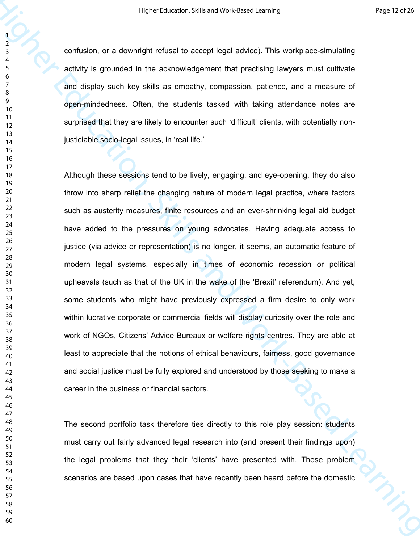confusion, or a downright refusal to accept legal advice). This workplace-simulating activity is grounded in the acknowledgement that practising lawyers must cultivate and display such key skills as empathy, compassion, patience, and a measure of open-mindedness. Often, the students tasked with taking attendance notes are surprised that they are likely to encounter such 'difficult' clients, with potentially nonjusticiable socio-legal issues, in 'real life.'

Higher telescore, Sells and Model English control and the sells and Model China and Society and the Society of Brown and Society is growing and the sells are engangly, concession, patternies and a measure of and display su Although these sessions tend to be lively, engaging, and eye-opening, they do also throw into sharp relief the changing nature of modern legal practice, where factors such as austerity measures, finite resources and an ever-shrinking legal aid budget have added to the pressures on young advocates. Having adequate access to justice (via advice or representation) is no longer, it seems, an automatic feature of modern legal systems, especially in times of economic recession or political upheavals (such as that of the UK in the wake of the 'Brexit' referendum). And yet, some students who might have previously expressed a firm desire to only work within lucrative corporate or commercial fields will display curiosity over the role and work of NGOs, Citizens' Advice Bureaux or welfare rights centres. They are able at least to appreciate that the notions of ethical behaviours, fairness, good governance and social justice must be fully explored and understood by those seeking to make a career in the business or financial sectors.

The second portfolio task therefore ties directly to this role play session: students must carry out fairly advanced legal research into (and present their findings upon) the legal problems that they their 'clients' have presented with. These problem scenarios are based upon cases that have recently been heard before the domestic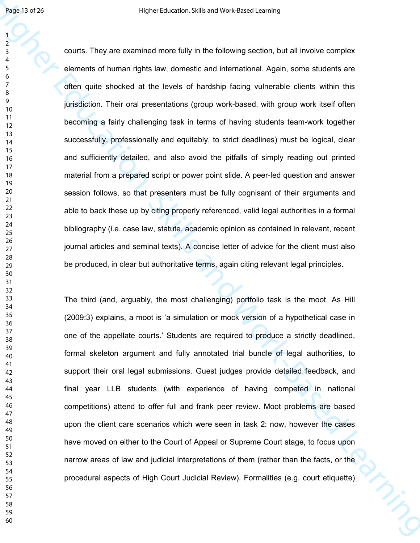Healt Baral May 19 How there one of the behavior section, but all involve compare<br>
A courts. They are exercised as the levels of internal methods section, but all involve complex<br>
elements of human inglis law, corresting courts. They are examined more fully in the following section, but all involve complex elements of human rights law, domestic and international. Again, some students are often quite shocked at the levels of hardship facing vulnerable clients within this jurisdiction. Their oral presentations (group work-based, with group work itself often becoming a fairly challenging task in terms of having students team-work together successfully, professionally and equitably, to strict deadlines) must be logical, clear and sufficiently detailed, and also avoid the pitfalls of simply reading out printed material from a prepared script or power point slide. A peer-led question and answer session follows, so that presenters must be fully cognisant of their arguments and able to back these up by citing properly referenced, valid legal authorities in a formal bibliography (i.e. case law, statute, academic opinion as contained in relevant, recent journal articles and seminal texts). A concise letter of advice for the client must also be produced, in clear but authoritative terms, again citing relevant legal principles.

The third (and, arguably, the most challenging) portfolio task is the moot. As Hill (2009:3) explains, a moot is 'a simulation or mock version of a hypothetical case in one of the appellate courts.' Students are required to produce a strictly deadlined, formal skeleton argument and fully annotated trial bundle of legal authorities, to support their oral legal submissions. Guest judges provide detailed feedback, and final year LLB students (with experience of having competed in national competitions) attend to offer full and frank peer review. Moot problems are based upon the client care scenarios which were seen in task 2: now, however the cases have moved on either to the Court of Appeal or Supreme Court stage, to focus upon narrow areas of law and judicial interpretations of them (rather than the facts, or the procedural aspects of High Court Judicial Review). Formalities (e.g. court etiquette)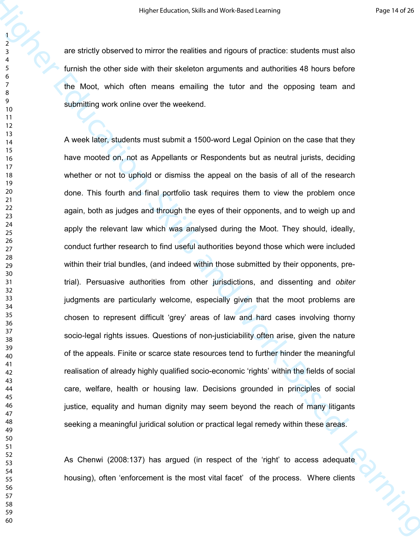are strictly observed to mirror the realities and rigours of practice: students must also furnish the other side with their skeleton arguments and authorities 48 hours before the Moot, which often means emailing the tutor and the opposing team and submitting work online over the weekend.

Higher telescore, Sells and Most Excelse Learning<br>
The and the property conserved to mimorithic realities and rigous of presidice students must also<br>
time the action solution the realities and rigous of presidice students A week later, students must submit a 1500-word Legal Opinion on the case that they have mooted on, not as Appellants or Respondents but as neutral jurists, deciding whether or not to uphold or dismiss the appeal on the basis of all of the research done. This fourth and final portfolio task requires them to view the problem once again, both as judges and through the eyes of their opponents, and to weigh up and apply the relevant law which was analysed during the Moot. They should, ideally, conduct further research to find useful authorities beyond those which were included within their trial bundles, (and indeed within those submitted by their opponents, pretrial). Persuasive authorities from other jurisdictions, and dissenting and *obiter* judgments are particularly welcome, especially given that the moot problems are chosen to represent difficult 'grey' areas of law and hard cases involving thorny socio-legal rights issues. Questions of non-justiciability often arise, given the nature of the appeals. Finite or scarce state resources tend to further hinder the meaningful realisation of already highly qualified socio-economic 'rights' within the fields of social care, welfare, health or housing law. Decisions grounded in principles of social justice, equality and human dignity may seem beyond the reach of many litigants seeking a meaningful juridical solution or practical legal remedy within these areas.

As Chenwi (2008:137) has argued (in respect of the 'right' to access adequate housing), often 'enforcement is the most vital facet' of the process. Where clients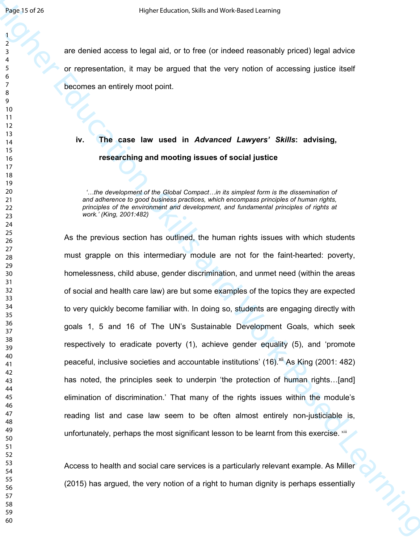are denied access to legal aid, or to free (or indeed reasonably priced) legal advice or representation, it may be argued that the very notion of accessing justice itself becomes an entirely moot point.

**iv. The case law used in** *Advanced Lawyers' Skills***: advising, researching and mooting issues of social justice** 

'...the development of the Global Compact...in its simplest form is the dissemination of *and adherence to good business practices, which encompass principles of human rights, principles of the environment and development, and fundamental principles of rights at work.' (King, 2001:482)* 

Healt Soration and the state of the first of the first control operation of the state of the state of the state of the state of the state of the state of the state of the state of the state of the state of the state of th As the previous section has outlined, the human rights issues with which students must grapple on this intermediary module are not for the faint-hearted: poverty, homelessness, child abuse, gender discrimination, and unmet need (within the areas of social and health care law) are but some examples of the topics they are expected to very quickly become familiar with. In doing so, students are engaging directly with goals 1, 5 and 16 of The UN's Sustainable Development Goals, which seek respectively to eradicate poverty (1), achieve gender equality (5), and 'promote peaceful, inclusive societies and accountable institutions'  $(16)$ <sup>xii</sup> As King (2001: 482) has noted, the principles seek to underpin 'the protection of human rights...[and] elimination of discrimination.' That many of the rights issues within the module's reading list and case law seem to be often almost entirely non-justiciable is, unfortunately, perhaps the most significant lesson to be learnt from this exercise. xiii

Access to health and social care services is a particularly relevant example. As Miller (2015) has argued, the very notion of a right to human dignity is perhaps essentially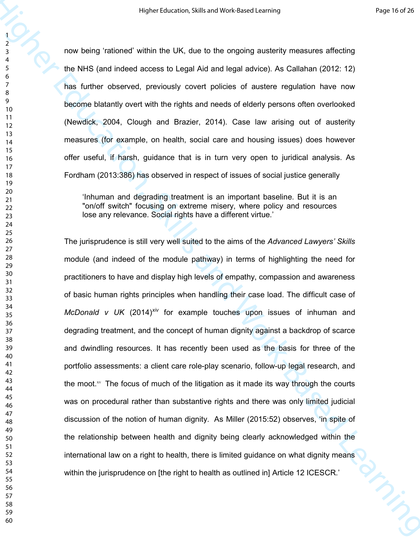now being 'rationed' within the UK, due to the ongoing austerity measures affecting the NHS (and indeed access to Legal Aid and legal advice). As Callahan (2012: 12) has further observed, previously covert policies of austere regulation have now become blatantly overt with the rights and needs of elderly persons often overlooked (Newdick, 2004, Clough and Brazier, 2014). Case law arising out of austerity measures (for example, on health, social care and housing issues) does however offer useful, if harsh, guidance that is in turn very open to juridical analysis. As Fordham (2013:386) has observed in respect of issues of social justice generally

'Inhuman and degrading treatment is an important baseline. But it is an "on/off switch" focusing on extreme misery, where policy and resources lose any relevance. Social rights have a different virtue.'

Higher telescore, Skills and York Education (Skills and York Education (Skills and Work-Based Learning)<br>
The bigher education of the control of the control of the control of the control of the control of the control of the The jurisprudence is still very well suited to the aims of the *Advanced Lawyers' Skills* module (and indeed of the module pathway) in terms of highlighting the need for practitioners to have and display high levels of empathy, compassion and awareness of basic human rights principles when handling their case load. The difficult case of *McDonald v UK* (2014)<sup>xiv</sup> for example touches upon issues of inhuman and degrading treatment, and the concept of human dignity against a backdrop of scarce and dwindling resources. It has recently been used as the basis for three of the portfolio assessments: a client care role-play scenario, follow-up legal research, and the moot. $x<sup>y</sup>$  The focus of much of the litigation as it made its way through the courts was on procedural rather than substantive rights and there was only limited judicial discussion of the notion of human dignity. As Miller (2015:52) observes, 'in spite of the relationship between health and dignity being clearly acknowledged within the international law on a right to health, there is limited guidance on what dignity means<br>within the jurisprudence on [the right to health as outlined in] Article 12 ICESCR. within the jurisprudence on [the right to health as outlined in] Article 12 ICESCR.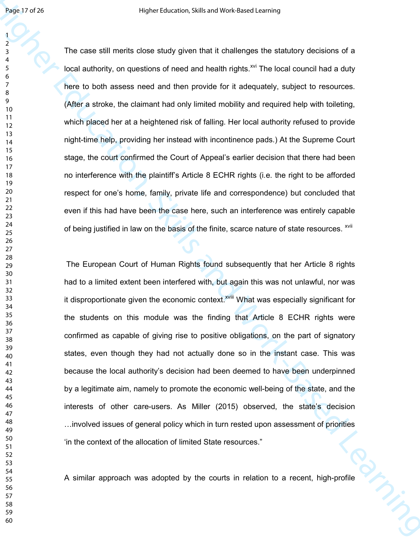Healt of 28<br>
The case still matrix does exidy given that it challenges the saturely does not a<br>  $\frac{1}{2}$ <br>
The case still matrix does exidy given that it challenges the saturely doesnes of a<br>
force authority, on questions The case still merits close study given that it challenges the statutory decisions of a local authority, on questions of need and health rights.<sup>xvi</sup> The local council had a duty here to both assess need and then provide for it adequately, subject to resources. (After a stroke, the claimant had only limited mobility and required help with toileting, which placed her at a heightened risk of falling. Her local authority refused to provide night-time help, providing her instead with incontinence pads.) At the Supreme Court stage, the court confirmed the Court of Appeal's earlier decision that there had been no interference with the plaintiff's Article 8 ECHR rights (i.e. the right to be afforded respect for one's home, family, private life and correspondence) but concluded that even if this had have been the case here, such an interference was entirely capable of being justified in law on the basis of the finite, scarce nature of state resources. <sup>xvii</sup>

 The European Court of Human Rights found subsequently that her Article 8 rights had to a limited extent been interfered with, but again this was not unlawful, nor was it disproportionate given the economic context.<sup>xviii</sup> What was especially significant for the students on this module was the finding that Article 8 ECHR rights were confirmed as capable of giving rise to positive obligations, on the part of signatory states, even though they had not actually done so in the instant case. This was because the local authority's decision had been deemed to have been underpinned by a legitimate aim, namely to promote the economic well-being of the state, and the interests of other care-users. As Miller (2015) observed, the state's decision  $\ldots$  involved issues of general policy which in turn rested upon assessment of priorities 'in the context of the allocation of limited State resources."

The context of the allocation of limited State resources."<br>A similar approach was adopted by the courts in relation to a recent, high-profile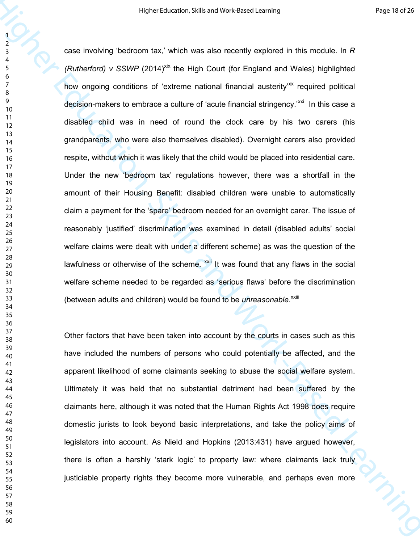Higher telescore, Sells and Most Essex Learning<br>  $\frac{1}{2}$ <br>
State involving beddoom tax(, which was also recently oxplored in this module. In R<br>
(Raubmetody J. SSWP (2014)<sup>m</sup> the High Court if or England and Wates highlig case involving 'bedroom tax,' which was also recently explored in this module. In *R (Rutherford) v SSWP* (2014)<sup>xix</sup> the High Court (for England and Wales) highlighted how ongoing conditions of 'extreme national financial austerity<sup>-xx</sup> required political decision-makers to embrace a culture of 'acute financial stringency.<sup>'xxi</sup> In this case a disabled child was in need of round the clock care by his two carers (his grandparents, who were also themselves disabled). Overnight carers also provided respite, without which it was likely that the child would be placed into residential care. Under the new 'bedroom tax' regulations however, there was a shortfall in the amount of their Housing Benefit: disabled children were unable to automatically claim a payment for the 'spare' bedroom needed for an overnight carer. The issue of reasonably 'justified' discrimination was examined in detail (disabled adults' social welfare claims were dealt with under a different scheme) as was the question of the lawfulness or otherwise of the scheme.  $\frac{1}{x}$  It was found that any flaws in the social welfare scheme needed to be regarded as 'serious flaws' before the discrimination (between adults and children) would be found to be *unreasonable*.<sup>xxiii</sup>

Other factors that have been taken into account by the courts in cases such as this have included the numbers of persons who could potentially be affected, and the apparent likelihood of some claimants seeking to abuse the social welfare system. Ultimately it was held that no substantial detriment had been suffered by the claimants here, although it was noted that the Human Rights Act 1998 does require domestic jurists to look beyond basic interpretations, and take the policy aims of legislators into account. As Nield and Hopkins (2013:431) have argued however, there is often a harshly 'stark logic' to property law: where claimants lack truly justiciable property rights they become more vulnerable, and perhaps even more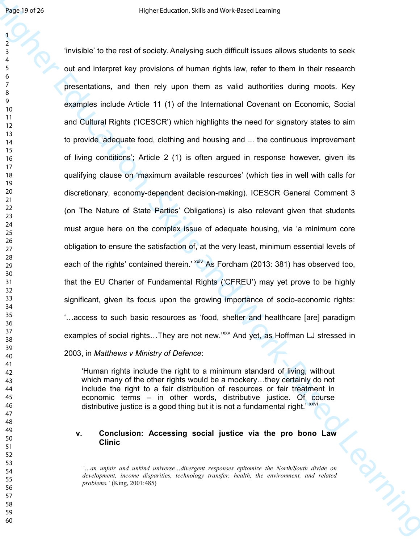Health of the most benefits and Most Learning and Sile and Most Learning and the most control to benefit and the most control of the most control of the most learning the most control of the most control of the most contr 'invisible' to the rest of society. Analysing such difficult issues allows students to seek out and interpret key provisions of human rights law, refer to them in their research presentations, and then rely upon them as valid authorities during moots. Key examples include Article 11 (1) of the International Covenant on Economic, Social and Cultural Rights ('ICESCR') which highlights the need for signatory states to aim to provide 'adequate food, clothing and housing and ... the continuous improvement of living conditions'; Article 2 (1) is often argued in response however, given its qualifying clause on 'maximum available resources' (which ties in well with calls for discretionary, economy-dependent decision-making). ICESCR General Comment 3 (on The Nature of State Parties' Obligations) is also relevant given that students must argue here on the complex issue of adequate housing, via 'a minimum core obligation to ensure the satisfaction of, at the very least, minimum essential levels of each of the rights' contained therein.' xxiv As Fordham (2013: 381) has observed too, that the EU Charter of Fundamental Rights ('CFREU') may yet prove to be highly significant, given its focus upon the growing importance of socio-economic rights: ...access to such basic resources as 'food, shelter and healthcare [are] paradigm examples of social rights...They are not new.'<sup>xxv</sup> And yet, as Hoffman LJ stressed in 2003, in *Matthews v Ministry of Defence*:

'Human rights include the right to a minimum standard of living, without which many of the other rights would be a mockery...they certainly do not include the right to a fair distribution of resources or fair treatment in economic terms – in other words, distributive justice. Of course distributive justice is a good thing but it is not a fundamental right.<sup>' xxvi</sup>

#### **v. Conclusion: Accessing social justice via the pro bono Law Clinic**

*'…an unfair and unkind universe…divergent responses epitomize the North/South divide on development, income disparities, technology transfer, health, the environment, and related problems.'* (King, 2001:485)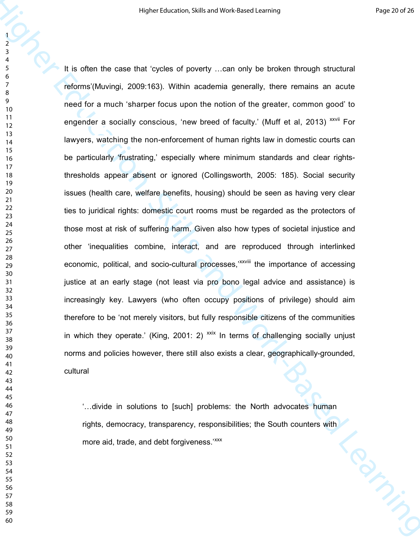Here tsice of skills and Youthout Shills and Youthout Shills and Youthout Shills and Youthout Shills and Youthout Shills and Youthout Shills are continued by the company of the main of the main of the main of the main of It is often the case that 'cycles of poverty ...can only be broken through structural reforms'(Muvingi, 2009:163). Within academia generally, there remains an acute need for a much 'sharper focus upon the notion of the greater, common good' to engender a socially conscious, 'new breed of faculty.' (Muff et al, 2013) xxvii For lawyers, watching the non-enforcement of human rights law in domestic courts can be particularly 'frustrating,' especially where minimum standards and clear rightsthresholds appear absent or ignored (Collingsworth, 2005: 185). Social security issues (health care, welfare benefits, housing) should be seen as having very clear ties to juridical rights: domestic court rooms must be regarded as the protectors of those most at risk of suffering harm. Given also how types of societal injustice and other 'inequalities combine, interact, and are reproduced through interlinked economic, political, and socio-cultural processes,<sup>"XXVIII</sup> the importance of accessing justice at an early stage (not least via pro bono legal advice and assistance) is increasingly key. Lawyers (who often occupy positions of privilege) should aim therefore to be 'not merely visitors, but fully responsible citizens of the communities in which they operate.' (King, 2001: 2)  $x$  In terms of challenging socially unjust norms and policies however, there still also exists a clear, geographically-grounded, cultural

"...divide in solutions to [such] problems: the North advocates human<br>rights, democracy, transparency, responsibilities; the South counters with<br>more aid, trade, and debt forgiveness." rights, democracy, transparency, responsibilities; the South counters with more aid, trade, and debt forgiveness.<sup>'xxx</sup>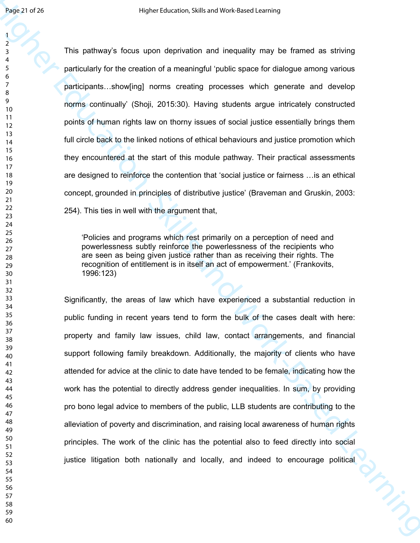Healt at 20<br>
Higher Edward School upon deprivation and industries cannot are stating<br>
This package is foots upon deprivation and industries and develope among various<br>  $\frac{1}{2}$ <br>
This package and Work-Based Learning and Sc This pathway's focus upon deprivation and inequality may be framed as striving particularly for the creation of a meaningful 'public space for dialogue among various participants...show[ing] norms creating processes which generate and develop norms continually' (Shoji, 2015:30). Having students argue intricately constructed points of human rights law on thorny issues of social justice essentially brings them full circle back to the linked notions of ethical behaviours and justice promotion which they encountered at the start of this module pathway. Their practical assessments are designed to reinforce the contention that 'social justice or fairness ... is an ethical concept, grounded in principles of distributive justice' (Braveman and Gruskin, 2003: 254). This ties in well with the argument that,

'Policies and programs which rest primarily on a perception of need and powerlessness subtly reinforce the powerlessness of the recipients who are seen as being given justice rather than as receiving their rights. The recognition of entitlement is in itself an act of empowerment.' (Frankovits, 1996:123)

Significantly, the areas of law which have experienced a substantial reduction in public funding in recent years tend to form the bulk of the cases dealt with here: property and family law issues, child law, contact arrangements, and financial support following family breakdown. Additionally, the majority of clients who have attended for advice at the clinic to date have tended to be female, indicating how the work has the potential to directly address gender inequalities. In sum, by providing pro bono legal advice to members of the public, LLB students are contributing to the alleviation of poverty and discrimination, and raising local awareness of human rights principles. The work of the clinic has the potential also to feed directly into social justice litigation both nationally and locally, and indeed to encourage political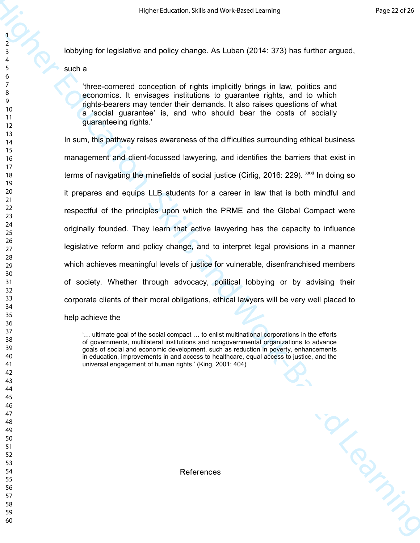lobbying for legislative and policy change. As Luban (2014: 373) has further argued,

such a

'three-cornered conception of rights implicitly brings in law, politics and economics. It envisages institutions to guarantee rights, and to which rights-bearers may tender their demands. It also raises questions of what a 'social guarantee' is, and who should bear the costs of socially guaranteeing rights.'

Here t distinged for the stationer will be added to the stationary of the station of the station of the station of the station of the station of the station of the stationary of the stationary of the stationary of the stat In sum, this pathway raises awareness of the difficulties surrounding ethical business management and client-focussed lawyering, and identifies the barriers that exist in terms of navigating the minefields of social justice (Cirlig, 2016: 229).  $\frac{xx}{x}$  In doing so it prepares and equips LLB students for a career in law that is both mindful and respectful of the principles upon which the PRME and the Global Compact were originally founded. They learn that active lawyering has the capacity to influence legislative reform and policy change, and to interpret legal provisions in a manner which achieves meaningful levels of justice for vulnerable, disenfranchised members of society. Whether through advocacy, political lobbying or by advising their corporate clients of their moral obligations, ethical lawyers will be very well placed to

help achieve the

 $\ldots$  ultimate goal of the social compact  $\ldots$  to enlist multinational corporations in the efforts of governments, multilateral institutions and nongovernmental organizations to advance goals of social and economic development, such as reduction in poverty, enhancements in education, improvements in and access to healthcare, equal access to justice, and the universal engagement of human rights.' (King, 2001: 404)

References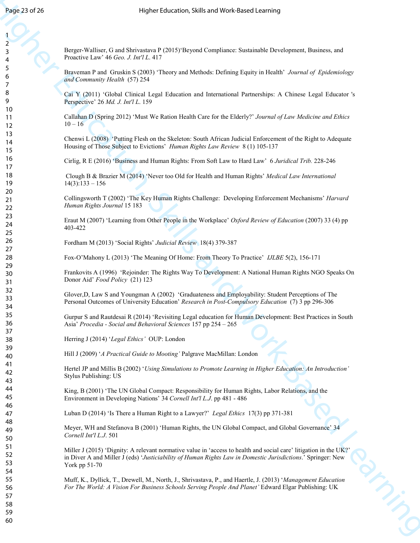Berger-Walliser, G and Shrivastava P (2015)'Beyond Compliance: Sustainable Development, Business, and Proactive Law' 46 *Geo. J. Int'l L*. 417

Braveman P and Gruskin S (2003) 'Theory and Methods: Defining Equity in Health' *Journal of Epidemiology and Community Health* (57) 254

Cai Y (2011) 'Global Clinical Legal Education and International Partnerships: A Chinese Legal Educator 's Perspective' 26 *Md. J. Int'l L*. 159

Callahan D (Spring 2012) 'Must We Ration Health Care for the Elderly?' *Journal of Law Medicine and Ethics*  $10 - 16$ 

Chenwi L (2008) 'Putting Flesh on the Skeleton: South African Judicial Enforcement of the Right to Adequate Housing of Those Subject to Evictions' *Human Rights Law Review* 8 (1) 105-137

Cirlig, R E (2016) 'Business and Human Rights: From Soft Law to Hard Law' 6 *Juridical Trib.* 228-246

 Clough B & Brazier M (2014) 'Never too Old for Health and Human Rights' *Medical Law International*   $14(3):133 - 156$ 

Collingsworth T (2002) 'The Key Human Rights Challenge: Developing Enforcement Mechanisms' *Harvard Human Rights Journal* 15 183

Eraut M (2007) 'Learning from Other People in the Workplace' *Oxford Review of Education* (2007) 33 (4) pp 403-422

Fordham M (2013) 'Social Rights' *Judicial Review* 18(4) 379-387

Fox-O'Mahony L (2013) 'The Meaning Of Home: From Theory To Practice' *IJLBE* 5(2), 156-171

Frankovits A (1996) 'Rejoinder: The Rights Way To Development: A National Human Rights NGO Speaks On Donor Aid' *Food Policy* (21) 123

Glover,D, Law S and Youngman A (2002) 'Graduateness and Employability: Student Perceptions of The Personal Outcomes of University Education' *Research in Post-Compulsory Education* (7) 3 pp 296-306

Gurpur S and Rautdesai R (2014) 'Revisiting Legal education for Human Development: Best Practices in South Asia' *Procedia - Social and Behavioral Sciences* 157 pp 254 – 265

Herring J (2014) '*Legal Ethics'* OUP: London

Hill J (2009) '*A Practical Guide to Mooting'* Palgrave MacMillan: London

Hertel JP and Millis B (2002) '*Using Simulations to Promote Learning in Higher Education: An Introduction'* Stylus Publishing: US

King, B (2001) 'The UN Global Compact: Responsibility for Human Rights, Labor Relations, and the Environment in Developing Nations' 34 *Cornell Int'l L.J*. pp 481 - 486

Luban D (2014) 'Is There a Human Right to a Lawyer?' *Legal Ethics* 17(3) pp 371-381

Meyer, WH and Stefanova B (2001) 'Human Rights, the UN Global Compact, and Global Governance' 34 *Cornell Int'l L.J*. 501

Hosp. 23 of 23<br>
Hosp. 23 of 23<br>
Hosp. 25 of 24 of 24 of 24 of 24 of 24 of 24 of 24 of 24 of 24 of 24 of 24 of 24 of 24 of 24 of 24 of 24 of 24 of 24 of 24 of 24 of 24 of 24 of 24 of 24 of 24 of 24 of 24 of 24 of 24 of 24 Miller J (2015) 'Dignity: A relevant normative value in 'access to health and social care' litigation in the UK?' in Diver A and Miller J (eds) '*Justiciability of Human Rights Law in Domestic Jurisdictions*.' Springer: New York pp 51-70

Muff, K., Dyllick, T., Drewell, M., North, J., Shrivastava, P., and Haertle, J. (2013) '*Management Education For The World: A Vision For Business Schools Serving People And Planet'* Edward Elgar Publishing: UK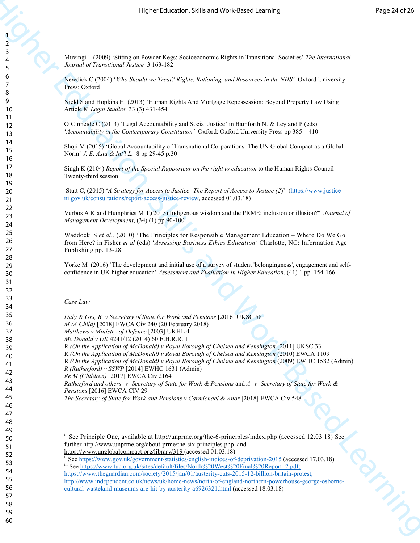Muvingi I (2009) 'Sitting on Powder Kegs: Socioeconomic Rights in Transitional Societies' *The International Journal of Transitional Justice* 3 163-182

Newdick C (2004) '*Who Should we Treat? Rights, Rationing, and Resources in the NHS'.* Oxford University Press: Oxford

Nield S and Hopkins H (2013) 'Human Rights And Mortgage Repossession: Beyond Property Law Using Article 8' *Legal Studies* 33 (3) 431-454

O'Cinneide C (2013) 'Legal Accountability and Social Justice' in Bamforth N. & Leyland P (eds) '*Accountability in the Contemporary Constitution'* Oxford: Oxford University Press pp 385 – 410

Shoji M (2015) 'Global Accountability of Transnational Corporations: The UN Global Compact as a Global Norm' *J. E. Asia & Int'l L.* 8 pp 29-45 p.30

Singh K (2104) *Report of the Special Rapporteur on the right to education* to the Human Rights Council Twenty-third session

 Stutt C, (2015) '*A Strategy for Access to Justice: The Report of Access to Justice (2*)' (https://www.justiceni.gov.uk/consultations/report-access-justice-review, accessed 01.03.18)

Verbos A K and Humphries M T,(2015) Indigenous wisdom and the PRME: inclusion or illusion?" *Journal of Management Development*, (34) (1) pp.90-100

Here is the theoretical technique in the presentation of the theoretical technique in the second of the second of the second of the second of the second of the second of the second of the second of the second of the secon Waddock S *et al.,* (2010) 'The Principles for Responsible Management Education – Where Do We Go from Here? in Fisher *et al* (eds) '*Assessing Business Ethics Education'* Charlotte, NC: Information Age Publishing pp. 13-28

Yorke M (2016) 'The development and initial use of a survey of student 'belongingness', engagement and selfconfidence in UK higher education' *Assessment and Evaluation in Higher Education*. (41) 1 pp. 154-166

*Case Law* 

<u>.</u>

*Daly & Ors, R v Secretary of State for Work and Pensions* [2016] UKSC 58 *M (A Child)* [2018] EWCA Civ 240 (20 February 2018)

*Matthews v Ministry of Defence* [2003] UKHL 4

*Mc Donald v UK* 4241/12 (2014) 60 E.H.R.R. 1

R (On the Application of McDonald) v Royal Borough of Chelsea and Kensington <sup>[2011]</sup> UKSC 33

R *(On the Application of McDonald) v Royal Borough of Chelsea and Kensington* (2010) EWCA 1109

R *(On the Application of McDonald) v Royal Borough of Chelsea and Kensington* (2009) EWHC 1582 (Admin)

*R (Rutherford) v SSWP* [2014] EWHC 1631 (Admin)

*Re M (Children)* [2017] EWCA Civ 2164

*Rutherford and others -v- Secretary of State for Work & Pensions* and *A -v- Secretary of State for Work & Pensions* [2016] EWCA CIV 29

*The Secretary of State for Work and Pensions v Carmichael & Anor* [2018] EWCA Civ 548

<sup>&</sup>lt;sup>i</sup> See Principle One, available at http://unprme.org/the-6-principles/index.php (accessed 12.03.18) See further http://www.unprme.org/about-prme/the-six-principles.php and

https://www.unglobalcompact.org/library/319 (accessed 01.03.18)

See https://www.gov.uk/government/statistics/english-indices-of-deprivation-2015 (accessed 17.03.18)

iii See https://www.tuc.org.uk/sites/default/files/North%20West%20Final%20Report\_2.pdf; https://www.theguardian.com/society/2015/jan/01/austerity-cuts-2015-12-billion-britain-protest; http://www.independent.co.uk/news/uk/home-news/north-of-england-northern-powerhouse-george-osborne-

cultural-wasteland-museums-are-hit-by-austerity-a6926321.html (accessed 18.03.18)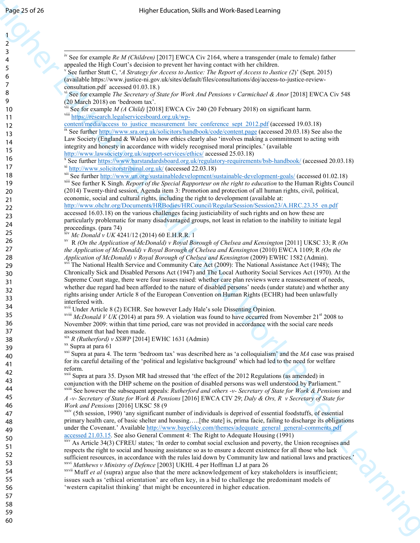| Page 25 of 26                | Higher Education, Skills and Work-Based Learning                                                                                                                                                                                           |  |
|------------------------------|--------------------------------------------------------------------------------------------------------------------------------------------------------------------------------------------------------------------------------------------|--|
|                              |                                                                                                                                                                                                                                            |  |
| $\overline{a}$               |                                                                                                                                                                                                                                            |  |
| $\overline{\mathbf{3}}$<br>4 | <sup>iv</sup> See for example Re M (Children) [2017] EWCA Civ 2164, where a transgender (male to female) father                                                                                                                            |  |
| 5                            | appealed the High Court's decision to prevent her having contact with her children.<br>See further Stutt C, 'A Strategy for Access to Justice: The Report of Access to Justice (2)' (Sept. 2015)                                           |  |
| 6<br>7                       | (available https://www.justice-ni.gov.uk/sites/default/files/consultations/doj/access-to-justice-review-                                                                                                                                   |  |
| 8                            | consultation.pdf accessed 01.03.18.)<br>See for example The Secretary of State for Work And Pensions v Carmichael & Anor [2018] EWCA Civ 548                                                                                               |  |
| 9<br>10                      | (20 March 2018) on 'bedroom tax'.<br><sup>vii</sup> See for example <i>M (A Child)</i> [2018] EWCA Civ 240 (20 February 2018) on significant harm.                                                                                         |  |
| 11                           | viii https://research.legalservicesboard.org.uk/wp-                                                                                                                                                                                        |  |
| 12                           | content/media/access to justice measurement lsrc conference sept 2012.pdf (accessed 19.03.18)<br>ix See further http://www.sra.org.uk/solicitors/handbook/code/content.page (accessed 20.03.18) See also the                               |  |
| 13<br>14                     | Law Society (England & Wales) on how ethics clearly also 'involves making a commitment to acting with                                                                                                                                      |  |
| 15                           | integrity and honesty in accordance with widely recognised moral principles.' (available<br>http://www.lawsociety.org.uk/support-services/ethics/ accessed 25.03.18)                                                                       |  |
| 16<br>17                     | <sup>x</sup> See further https://www.barstandardsboard.org.uk/regulatory-requirements/bsb-handbook/ (accessed 20.03.18)<br>xi http://www.solicitorstribunal.org.uk/ (accessed 22.03.18)                                                    |  |
| 18                           | xii See further http://www.un.org/sustainabledevelopment/sustainable-development-goals/ (accessed 01.02.18)                                                                                                                                |  |
| 19<br>20                     | <sup>xiii</sup> See further K Singh. Report of the Special Rapporteur on the right to education to the Human Rights Council<br>(2014) Twenty-third session, Agenda item 3: Promotion and protection of all human rights, civil, political, |  |
| 21                           | economic, social and cultural rights, including the right to development (available at:                                                                                                                                                    |  |
| 22                           | http://www.ohchr.org/Documents/HRBodies/HRCouncil/RegularSession/Session23/A.HRC.23.35 en.pdf<br>accessed 16.03.18) on the various challenges facing justiciability of such rights and on how these are                                    |  |
| 23<br>24                     | particularly problematic for many disadvantaged groups, not least in relation to the inability to initiate legal                                                                                                                           |  |
| 25                           | proceedings. (para 74)<br><sup>xiv</sup> Mc Donald v UK 4241/12 (2014) 60 E.H.R.R. 1                                                                                                                                                       |  |
| 26<br>27                     | R (On the Application of McDonald) v Royal Borough of Chelsea and Kensington [2011] UKSC 33; R (On                                                                                                                                         |  |
| 28                           | the Application of McDonald) v Royal Borough of Chelsea and Kensington (2010) EWCA 1109; R (On the<br>Application of McDonald) v Royal Borough of Chelsea and Kensington (2009) EWHC 1582 (Admin).                                         |  |
| 29                           | The National Health Service and Community Care Act (2009): The National Assistance Act (1948); The<br>Chronically Sick and Disabled Persons Act (1947) and The Local Authority Social Services Act (1970). At the                          |  |
| 30<br>31                     | Supreme Court stage, there were four issues raised: whether care plan reviews were a reassessment of needs,                                                                                                                                |  |
| 32                           | whether due regard had been afforded to the nature of disabled persons' needs (under statute) and whether any<br>rights arising under Article 8 of the European Convention on Human Rights (ECHR) had been unlawfully                      |  |
| 33<br>34                     | interfered with.                                                                                                                                                                                                                           |  |
| 35                           | <sup>xvii</sup> Under Article 8 (2) ECHR. See however Lady Hale's sole Dissenting Opinion.<br><sup>xviii</sup> McDonald V UK (2014) at para 59. A violation was found to have occurred from November $21st 2008$ to                        |  |
| 36                           | November 2009: within that time period, care was not provided in accordance with the social care needs                                                                                                                                     |  |
| 37<br>38                     | assessment that had been made.<br>$X$ <sup>xix</sup> R (Rutherford) v SSWP [2014] EWHC 1631 (Admin)                                                                                                                                        |  |
| 39                           | <sup>xx</sup> Supra at para 61<br><sup>xxi</sup> Supra at para 4. The term 'bedroom tax' was described here as 'a colloquialism' and the $MA$ case was praised                                                                             |  |
| 40<br>41                     | for its careful detailing of the 'political and legislative background' which had led to the need for welfare                                                                                                                              |  |
| 42                           | reform.<br><sup>xxii</sup> Supra at para 35. Dyson MR had stressed that 'the effect of the 2012 Regulations (as amended) in                                                                                                                |  |
| 43                           | conjunction with the DHP scheme on the position of disabled persons was well understood by Parliament."                                                                                                                                    |  |
| 44<br>45                     | <sup>xxiii</sup> See however the subsequent appeals: Rutherford and others -v- Secretary of State for Work & Pensions and<br>A -v- Secretary of State for Work & Pensions [2016] EWCA CIV 29; Daly & Ors, R v Secretary of State for       |  |
| 46                           | Work and Pensions [2016] UKSC 58 (9                                                                                                                                                                                                        |  |
| 47<br>48                     | xxiv (5th session, 1990) 'any significant number of individuals is deprived of essential foodstuffs, of essential<br>primary health care, of basic shelter and housing[the state] is, prima facie, failing to discharge its obligations    |  |
| 49                           | under the Covenant.' Available http://www.bayefsky.com/themes/adequate_general_general-comments.pdf<br>accessed 21.03.15. See also General Comment 4: The Right to Adequate Housing (1991)                                                 |  |
| 50<br>51                     | xxv As Article 34(3) CFREU states; 'In order to combat social exclusion and poverty, the Union recognises and                                                                                                                              |  |
| 52                           | respects the right to social and housing assistance so as to ensure a decent existence for all those who lack<br>sufficient resources, in accordance with the rules laid down by Community law and national laws and practices.'           |  |
| 53                           | xxvi Matthews v Ministry of Defence [2003] UKHL 4 per Hoffman LJ at para 26                                                                                                                                                                |  |
| 54<br>55                     | $x$ <sup>xxvii</sup> Muff <i>et al</i> (supra) argue also that the mere acknowledgement of key stakeholders is insufficient;<br>issues such as 'ethical orientation' are often key, in a bid to challenge the predominant models of        |  |
| 56                           | 'western capitalist thinking' that might be encountered in higher education.                                                                                                                                                               |  |
| 57<br>58                     |                                                                                                                                                                                                                                            |  |
| 59                           |                                                                                                                                                                                                                                            |  |
| 60                           | <b>PHATIC</b>                                                                                                                                                                                                                              |  |
|                              |                                                                                                                                                                                                                                            |  |